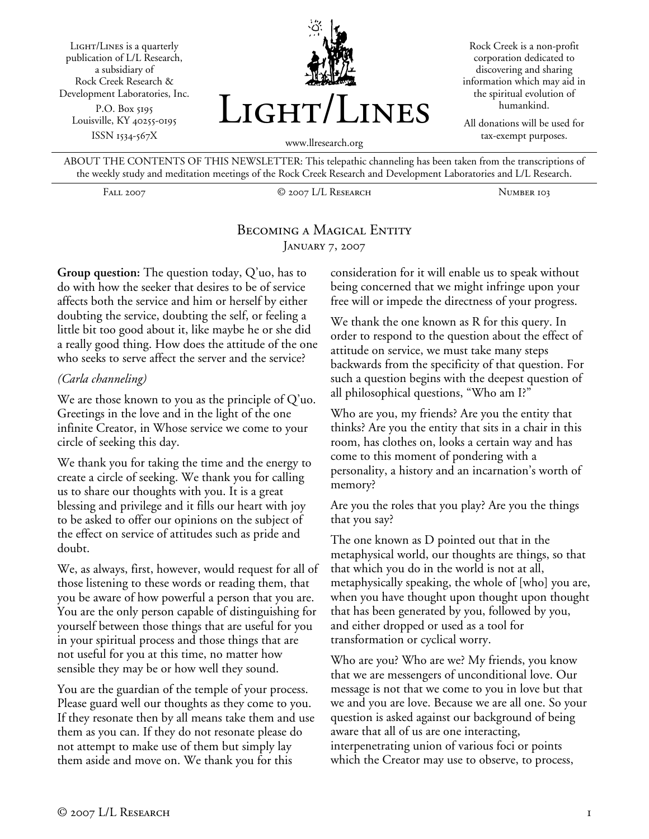Light/Lines is a quarterly publication of L/L Research, a subsidiary of Rock Creek Research & Development Laboratories, Inc. P.O. Box 5195 Louisville, KY 40255-0195 ISSN 1534-567X



Rock Creek is a non-profit corporation dedicated to discovering and sharing information which may aid in the spiritual evolution of humankind.

All donations will be used for tax-exempt purposes.

ABOUT THE CONTENTS OF THIS NEWSLETTER: This telepathic channeling has been taken from the transcriptions of the weekly study and meditation meetings of the Rock Creek Research and Development Laboratories and L/L Research.

Fall 2007 © 2007 L/L Research Number 103

### BECOMING A MAGICAL ENTITY January 7, 2007

**Group question:** The question today, Q'uo, has to do with how the seeker that desires to be of service affects both the service and him or herself by either doubting the service, doubting the self, or feeling a little bit too good about it, like maybe he or she did a really good thing. How does the attitude of the one who seeks to serve affect the server and the service?

#### *(Carla channeling)*

We are those known to you as the principle of Q'uo. Greetings in the love and in the light of the one infinite Creator, in Whose service we come to your circle of seeking this day.

We thank you for taking the time and the energy to create a circle of seeking. We thank you for calling us to share our thoughts with you. It is a great blessing and privilege and it fills our heart with joy to be asked to offer our opinions on the subject of the effect on service of attitudes such as pride and doubt.

We, as always, first, however, would request for all of those listening to these words or reading them, that you be aware of how powerful a person that you are. You are the only person capable of distinguishing for yourself between those things that are useful for you in your spiritual process and those things that are not useful for you at this time, no matter how sensible they may be or how well they sound.

You are the guardian of the temple of your process. Please guard well our thoughts as they come to you. If they resonate then by all means take them and use them as you can. If they do not resonate please do not attempt to make use of them but simply lay them aside and move on. We thank you for this

consideration for it will enable us to speak without being concerned that we might infringe upon your free will or impede the directness of your progress.

We thank the one known as R for this query. In order to respond to the question about the effect of attitude on service, we must take many steps backwards from the specificity of that question. For such a question begins with the deepest question of all philosophical questions, "Who am I?"

Who are you, my friends? Are you the entity that thinks? Are you the entity that sits in a chair in this room, has clothes on, looks a certain way and has come to this moment of pondering with a personality, a history and an incarnation's worth of memory?

Are you the roles that you play? Are you the things that you say?

The one known as D pointed out that in the metaphysical world, our thoughts are things, so that that which you do in the world is not at all, metaphysically speaking, the whole of [who] you are, when you have thought upon thought upon thought that has been generated by you, followed by you, and either dropped or used as a tool for transformation or cyclical worry.

Who are you? Who are we? My friends, you know that we are messengers of unconditional love. Our message is not that we come to you in love but that we and you are love. Because we are all one. So your question is asked against our background of being aware that all of us are one interacting, interpenetrating union of various foci or points which the Creator may use to observe, to process,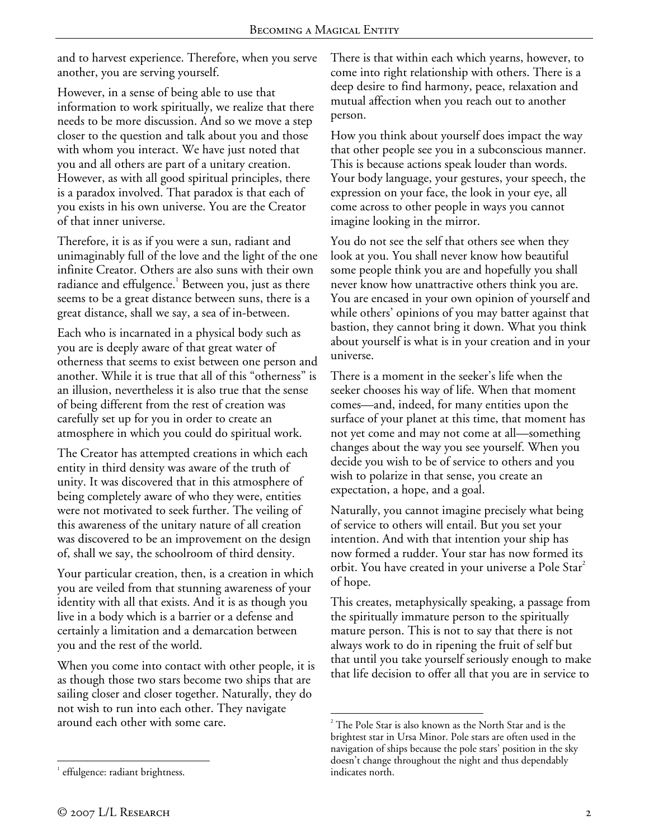and to harvest experience. Therefore, when you serve another, you are serving yourself.

However, in a sense of being able to use that information to work spiritually, we realize that there needs to be more discussion. And so we move a step closer to the question and talk about you and those with whom you interact. We have just noted that you and all others are part of a unitary creation. However, as with all good spiritual principles, there is a paradox involved. That paradox is that each of you exists in his own universe. You are the Creator of that inner universe.

Therefore, it is as if you were a sun, radiant and unimaginably full of the love and the light of the one infinite Creator. Others are also suns with their own radiance and effulgence. $^{\rm 1}$  Between you, just as there seems to be a great distance between suns, there is a great distance, shall we say, a sea of in-between.

Each who is incarnated in a physical body such as you are is deeply aware of that great water of otherness that seems to exist between one person and another. While it is true that all of this "otherness" is an illusion, nevertheless it is also true that the sense of being different from the rest of creation was carefully set up for you in order to create an atmosphere in which you could do spiritual work.

The Creator has attempted creations in which each entity in third density was aware of the truth of unity. It was discovered that in this atmosphere of being completely aware of who they were, entities were not motivated to seek further. The veiling of this awareness of the unitary nature of all creation was discovered to be an improvement on the design of, shall we say, the schoolroom of third density.

Your particular creation, then, is a creation in which you are veiled from that stunning awareness of your identity with all that exists. And it is as though you live in a body which is a barrier or a defense and certainly a limitation and a demarcation between you and the rest of the world.

When you come into contact with other people, it is as though those two stars become two ships that are sailing closer and closer together. Naturally, they do not wish to run into each other. They navigate around each other with some care.

There is that within each which yearns, however, to come into right relationship with others. There is a deep desire to find harmony, peace, relaxation and mutual affection when you reach out to another person.

How you think about yourself does impact the way that other people see you in a subconscious manner. This is because actions speak louder than words. Your body language, your gestures, your speech, the expression on your face, the look in your eye, all come across to other people in ways you cannot imagine looking in the mirror.

You do not see the self that others see when they look at you. You shall never know how beautiful some people think you are and hopefully you shall never know how unattractive others think you are. You are encased in your own opinion of yourself and while others' opinions of you may batter against that bastion, they cannot bring it down. What you think about yourself is what is in your creation and in your universe.

There is a moment in the seeker's life when the seeker chooses his way of life. When that moment comes—and, indeed, for many entities upon the surface of your planet at this time, that moment has not yet come and may not come at all—something changes about the way you see yourself. When you decide you wish to be of service to others and you wish to polarize in that sense, you create an expectation, a hope, and a goal.

Naturally, you cannot imagine precisely what being of service to others will entail. But you set your intention. And with that intention your ship has now formed a rudder. Your star has now formed its orbit. You have created in your universe a Pole Star<sup>2</sup> of hope.

This creates, metaphysically speaking, a passage from the spiritually immature person to the spiritually mature person. This is not to say that there is not always work to do in ripening the fruit of self but that until you take yourself seriously enough to make that life decision to offer all that you are in service to

1

 $2^2$  The Pole Star is also known as the North Star and is the brightest star in Ursa Minor. Pole stars are often used in the navigation of ships because the pole stars' position in the sky doesn't change throughout the night and thus dependably indicates north.

<sup>1</sup> <sup>1</sup> effulgence: radiant brightness.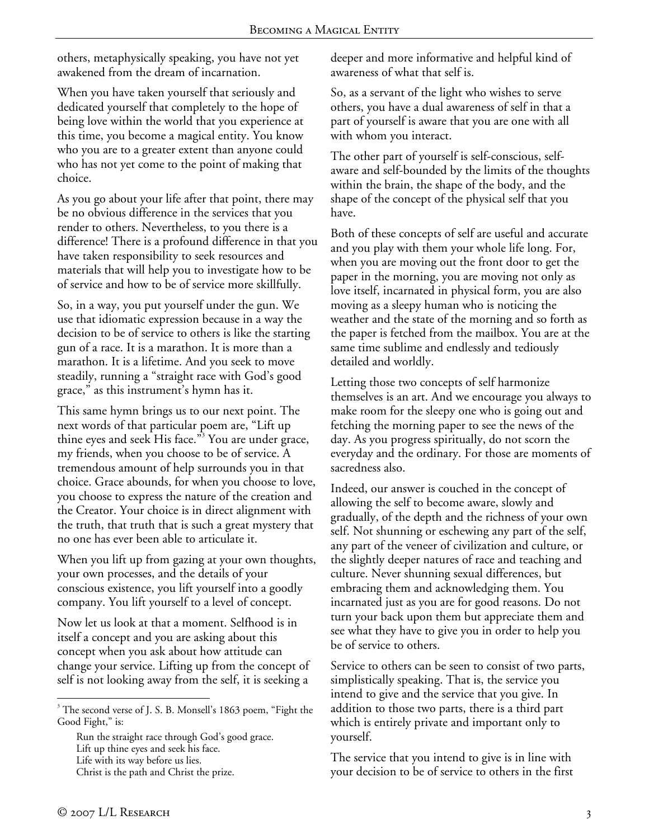others, metaphysically speaking, you have not yet awakened from the dream of incarnation.

When you have taken yourself that seriously and dedicated yourself that completely to the hope of being love within the world that you experience at this time, you become a magical entity. You know who you are to a greater extent than anyone could who has not yet come to the point of making that choice.

As you go about your life after that point, there may be no obvious difference in the services that you render to others. Nevertheless, to you there is a difference! There is a profound difference in that you have taken responsibility to seek resources and materials that will help you to investigate how to be of service and how to be of service more skillfully.

So, in a way, you put yourself under the gun. We use that idiomatic expression because in a way the decision to be of service to others is like the starting gun of a race. It is a marathon. It is more than a marathon. It is a lifetime. And you seek to move steadily, running a "straight race with God's good grace," as this instrument's hymn has it.

This same hymn brings us to our next point. The next words of that particular poem are, "Lift up thine eyes and seek His face."<sup>3</sup> You are under grace, my friends, when you choose to be of service. A tremendous amount of help surrounds you in that choice. Grace abounds, for when you choose to love, you choose to express the nature of the creation and the Creator. Your choice is in direct alignment with the truth, that truth that is such a great mystery that no one has ever been able to articulate it.

When you lift up from gazing at your own thoughts, your own processes, and the details of your conscious existence, you lift yourself into a goodly company. You lift yourself to a level of concept.

Now let us look at that a moment. Selfhood is in itself a concept and you are asking about this concept when you ask about how attitude can change your service. Lifting up from the concept of self is not looking away from the self, it is seeking a

Run the straight race through God's good grace. Lift up thine eyes and seek his face. Life with its way before us lies. Christ is the path and Christ the prize.

deeper and more informative and helpful kind of awareness of what that self is.

So, as a servant of the light who wishes to serve others, you have a dual awareness of self in that a part of yourself is aware that you are one with all with whom you interact.

The other part of yourself is self-conscious, selfaware and self-bounded by the limits of the thoughts within the brain, the shape of the body, and the shape of the concept of the physical self that you have.

Both of these concepts of self are useful and accurate and you play with them your whole life long. For, when you are moving out the front door to get the paper in the morning, you are moving not only as love itself, incarnated in physical form, you are also moving as a sleepy human who is noticing the weather and the state of the morning and so forth as the paper is fetched from the mailbox. You are at the same time sublime and endlessly and tediously detailed and worldly.

Letting those two concepts of self harmonize themselves is an art. And we encourage you always to make room for the sleepy one who is going out and fetching the morning paper to see the news of the day. As you progress spiritually, do not scorn the everyday and the ordinary. For those are moments of sacredness also.

Indeed, our answer is couched in the concept of allowing the self to become aware, slowly and gradually, of the depth and the richness of your own self. Not shunning or eschewing any part of the self, any part of the veneer of civilization and culture, or the slightly deeper natures of race and teaching and culture. Never shunning sexual differences, but embracing them and acknowledging them. You incarnated just as you are for good reasons. Do not turn your back upon them but appreciate them and see what they have to give you in order to help you be of service to others.

Service to others can be seen to consist of two parts, simplistically speaking. That is, the service you intend to give and the service that you give. In addition to those two parts, there is a third part which is entirely private and important only to yourself.

The service that you intend to give is in line with your decision to be of service to others in the first

 $\overline{a}$ 

<sup>&</sup>lt;sup>3</sup> The second verse of J. S. B. Monsell's 1863 poem, "Fight the Good Fight," is: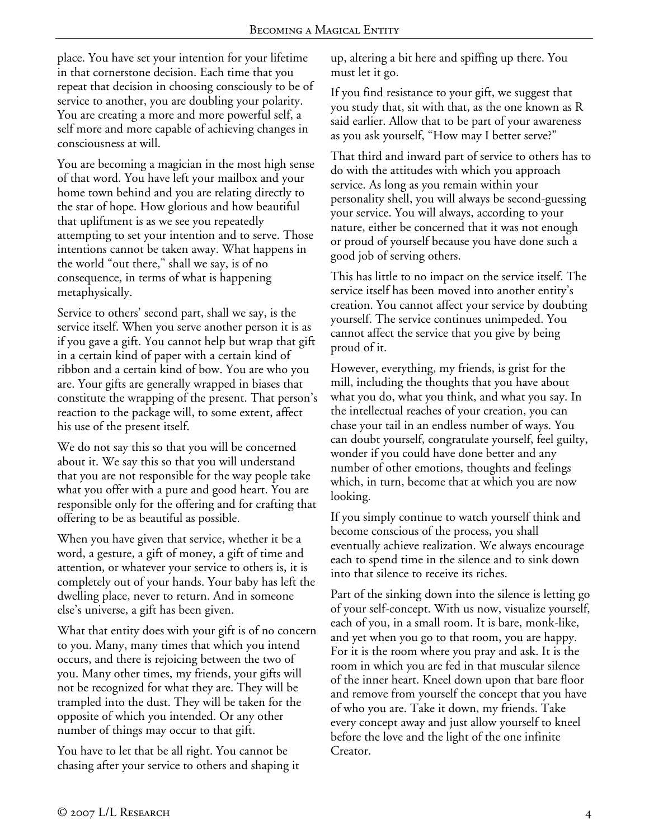place. You have set your intention for your lifetime in that cornerstone decision. Each time that you repeat that decision in choosing consciously to be of service to another, you are doubling your polarity. You are creating a more and more powerful self, a self more and more capable of achieving changes in consciousness at will.

You are becoming a magician in the most high sense of that word. You have left your mailbox and your home town behind and you are relating directly to the star of hope. How glorious and how beautiful that upliftment is as we see you repeatedly attempting to set your intention and to serve. Those intentions cannot be taken away. What happens in the world "out there," shall we say, is of no consequence, in terms of what is happening metaphysically.

Service to others' second part, shall we say, is the service itself. When you serve another person it is as if you gave a gift. You cannot help but wrap that gift in a certain kind of paper with a certain kind of ribbon and a certain kind of bow. You are who you are. Your gifts are generally wrapped in biases that constitute the wrapping of the present. That person's reaction to the package will, to some extent, affect his use of the present itself.

We do not say this so that you will be concerned about it. We say this so that you will understand that you are not responsible for the way people take what you offer with a pure and good heart. You are responsible only for the offering and for crafting that offering to be as beautiful as possible.

When you have given that service, whether it be a word, a gesture, a gift of money, a gift of time and attention, or whatever your service to others is, it is completely out of your hands. Your baby has left the dwelling place, never to return. And in someone else's universe, a gift has been given.

What that entity does with your gift is of no concern to you. Many, many times that which you intend occurs, and there is rejoicing between the two of you. Many other times, my friends, your gifts will not be recognized for what they are. They will be trampled into the dust. They will be taken for the opposite of which you intended. Or any other number of things may occur to that gift.

You have to let that be all right. You cannot be chasing after your service to others and shaping it up, altering a bit here and spiffing up there. You must let it go.

If you find resistance to your gift, we suggest that you study that, sit with that, as the one known as R said earlier. Allow that to be part of your awareness as you ask yourself, "How may I better serve?"

That third and inward part of service to others has to do with the attitudes with which you approach service. As long as you remain within your personality shell, you will always be second-guessing your service. You will always, according to your nature, either be concerned that it was not enough or proud of yourself because you have done such a good job of serving others.

This has little to no impact on the service itself. The service itself has been moved into another entity's creation. You cannot affect your service by doubting yourself. The service continues unimpeded. You cannot affect the service that you give by being proud of it.

However, everything, my friends, is grist for the mill, including the thoughts that you have about what you do, what you think, and what you say. In the intellectual reaches of your creation, you can chase your tail in an endless number of ways. You can doubt yourself, congratulate yourself, feel guilty, wonder if you could have done better and any number of other emotions, thoughts and feelings which, in turn, become that at which you are now looking.

If you simply continue to watch yourself think and become conscious of the process, you shall eventually achieve realization. We always encourage each to spend time in the silence and to sink down into that silence to receive its riches.

Part of the sinking down into the silence is letting go of your self-concept. With us now, visualize yourself, each of you, in a small room. It is bare, monk-like, and yet when you go to that room, you are happy. For it is the room where you pray and ask. It is the room in which you are fed in that muscular silence of the inner heart. Kneel down upon that bare floor and remove from yourself the concept that you have of who you are. Take it down, my friends. Take every concept away and just allow yourself to kneel before the love and the light of the one infinite Creator.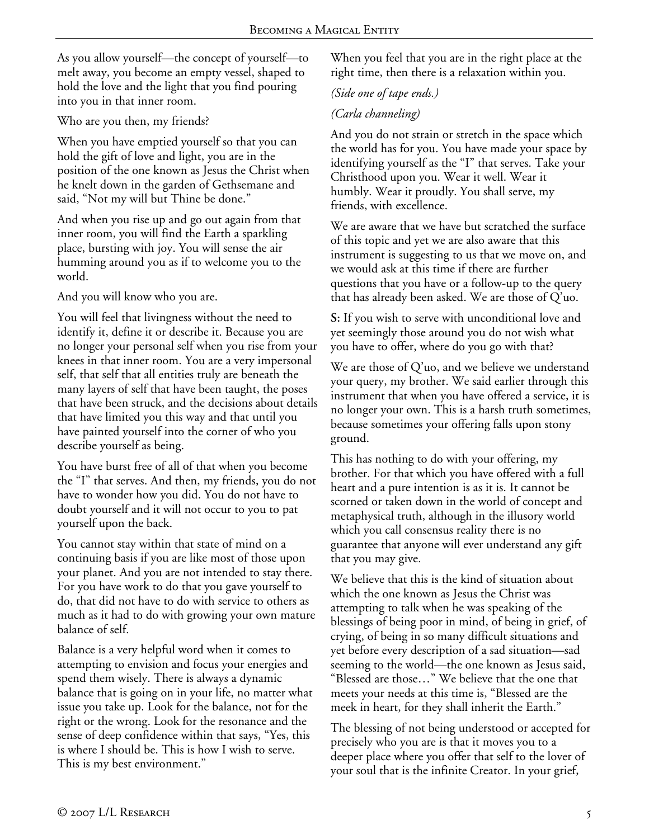As you allow yourself—the concept of yourself—to melt away, you become an empty vessel, shaped to hold the love and the light that you find pouring into you in that inner room.

Who are you then, my friends?

When you have emptied yourself so that you can hold the gift of love and light, you are in the position of the one known as Jesus the Christ when he knelt down in the garden of Gethsemane and said, "Not my will but Thine be done."

And when you rise up and go out again from that inner room, you will find the Earth a sparkling place, bursting with joy. You will sense the air humming around you as if to welcome you to the world.

And you will know who you are.

You will feel that livingness without the need to identify it, define it or describe it. Because you are no longer your personal self when you rise from your knees in that inner room. You are a very impersonal self, that self that all entities truly are beneath the many layers of self that have been taught, the poses that have been struck, and the decisions about details that have limited you this way and that until you have painted yourself into the corner of who you describe yourself as being.

You have burst free of all of that when you become the "I" that serves. And then, my friends, you do not have to wonder how you did. You do not have to doubt yourself and it will not occur to you to pat yourself upon the back.

You cannot stay within that state of mind on a continuing basis if you are like most of those upon your planet. And you are not intended to stay there. For you have work to do that you gave yourself to do, that did not have to do with service to others as much as it had to do with growing your own mature balance of self.

Balance is a very helpful word when it comes to attempting to envision and focus your energies and spend them wisely. There is always a dynamic balance that is going on in your life, no matter what issue you take up. Look for the balance, not for the right or the wrong. Look for the resonance and the sense of deep confidence within that says, "Yes, this is where I should be. This is how I wish to serve. This is my best environment."

When you feel that you are in the right place at the right time, then there is a relaxation within you.

## *(Side one of tape ends.)*

# *(Carla channeling)*

And you do not strain or stretch in the space which the world has for you. You have made your space by identifying yourself as the "I" that serves. Take your Christhood upon you. Wear it well. Wear it humbly. Wear it proudly. You shall serve, my friends, with excellence.

We are aware that we have but scratched the surface of this topic and yet we are also aware that this instrument is suggesting to us that we move on, and we would ask at this time if there are further questions that you have or a follow-up to the query that has already been asked. We are those of Q'uo.

**S:** If you wish to serve with unconditional love and yet seemingly those around you do not wish what you have to offer, where do you go with that?

We are those of Q'uo, and we believe we understand your query, my brother. We said earlier through this instrument that when you have offered a service, it is no longer your own. This is a harsh truth sometimes, because sometimes your offering falls upon stony ground.

This has nothing to do with your offering, my brother. For that which you have offered with a full heart and a pure intention is as it is. It cannot be scorned or taken down in the world of concept and metaphysical truth, although in the illusory world which you call consensus reality there is no guarantee that anyone will ever understand any gift that you may give.

We believe that this is the kind of situation about which the one known as Jesus the Christ was attempting to talk when he was speaking of the blessings of being poor in mind, of being in grief, of crying, of being in so many difficult situations and yet before every description of a sad situation—sad seeming to the world—the one known as Jesus said, "Blessed are those…" We believe that the one that meets your needs at this time is, "Blessed are the meek in heart, for they shall inherit the Earth."

The blessing of not being understood or accepted for precisely who you are is that it moves you to a deeper place where you offer that self to the lover of your soul that is the infinite Creator. In your grief,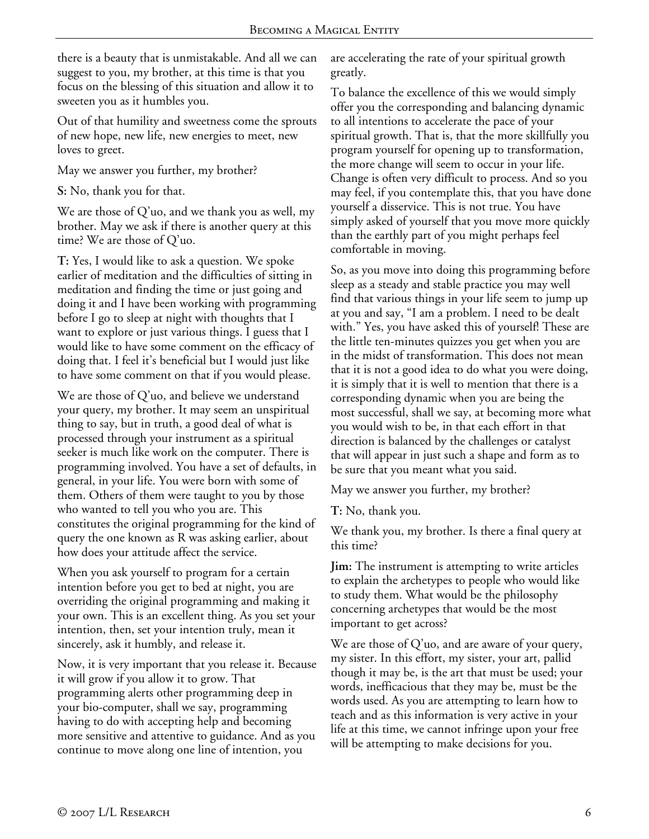there is a beauty that is unmistakable. And all we can suggest to you, my brother, at this time is that you focus on the blessing of this situation and allow it to sweeten you as it humbles you.

Out of that humility and sweetness come the sprouts of new hope, new life, new energies to meet, new loves to greet.

May we answer you further, my brother?

**S:** No, thank you for that.

We are those of Q'uo, and we thank you as well, my brother. May we ask if there is another query at this time? We are those of Q'uo.

**T:** Yes, I would like to ask a question. We spoke earlier of meditation and the difficulties of sitting in meditation and finding the time or just going and doing it and I have been working with programming before I go to sleep at night with thoughts that I want to explore or just various things. I guess that I would like to have some comment on the efficacy of doing that. I feel it's beneficial but I would just like to have some comment on that if you would please.

We are those of Q'uo, and believe we understand your query, my brother. It may seem an unspiritual thing to say, but in truth, a good deal of what is processed through your instrument as a spiritual seeker is much like work on the computer. There is programming involved. You have a set of defaults, in general, in your life. You were born with some of them. Others of them were taught to you by those who wanted to tell you who you are. This constitutes the original programming for the kind of query the one known as R was asking earlier, about how does your attitude affect the service.

When you ask yourself to program for a certain intention before you get to bed at night, you are overriding the original programming and making it your own. This is an excellent thing. As you set your intention, then, set your intention truly, mean it sincerely, ask it humbly, and release it.

Now, it is very important that you release it. Because it will grow if you allow it to grow. That programming alerts other programming deep in your bio-computer, shall we say, programming having to do with accepting help and becoming more sensitive and attentive to guidance. And as you continue to move along one line of intention, you

are accelerating the rate of your spiritual growth greatly.

To balance the excellence of this we would simply offer you the corresponding and balancing dynamic to all intentions to accelerate the pace of your spiritual growth. That is, that the more skillfully you program yourself for opening up to transformation, the more change will seem to occur in your life. Change is often very difficult to process. And so you may feel, if you contemplate this, that you have done yourself a disservice. This is not true. You have simply asked of yourself that you move more quickly than the earthly part of you might perhaps feel comfortable in moving.

So, as you move into doing this programming before sleep as a steady and stable practice you may well find that various things in your life seem to jump up at you and say, "I am a problem. I need to be dealt with." Yes, you have asked this of yourself! These are the little ten-minutes quizzes you get when you are in the midst of transformation. This does not mean that it is not a good idea to do what you were doing, it is simply that it is well to mention that there is a corresponding dynamic when you are being the most successful, shall we say, at becoming more what you would wish to be, in that each effort in that direction is balanced by the challenges or catalyst that will appear in just such a shape and form as to be sure that you meant what you said.

May we answer you further, my brother?

**T:** No, thank you.

We thank you, my brother. Is there a final query at this time?

**Jim:** The instrument is attempting to write articles to explain the archetypes to people who would like to study them. What would be the philosophy concerning archetypes that would be the most important to get across?

We are those of Q'uo, and are aware of your query, my sister. In this effort, my sister, your art, pallid though it may be, is the art that must be used; your words, inefficacious that they may be, must be the words used. As you are attempting to learn how to teach and as this information is very active in your life at this time, we cannot infringe upon your free will be attempting to make decisions for you.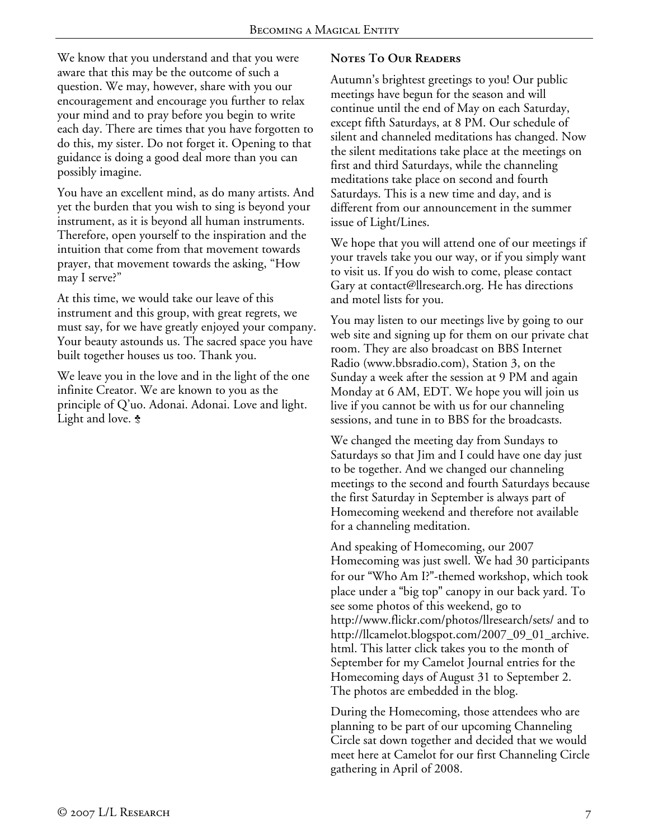We know that you understand and that you were aware that this may be the outcome of such a question. We may, however, share with you our encouragement and encourage you further to relax your mind and to pray before you begin to write each day. There are times that you have forgotten to do this, my sister. Do not forget it. Opening to that guidance is doing a good deal more than you can possibly imagine.

You have an excellent mind, as do many artists. And yet the burden that you wish to sing is beyond your instrument, as it is beyond all human instruments. Therefore, open yourself to the inspiration and the intuition that come from that movement towards prayer, that movement towards the asking, "How may I serve?"

At this time, we would take our leave of this instrument and this group, with great regrets, we must say, for we have greatly enjoyed your company. Your beauty astounds us. The sacred space you have built together houses us too. Thank you.

We leave you in the love and in the light of the one infinite Creator. We are known to you as the principle of Q'uo. Adonai. Adonai. Love and light. Light and love.  $\boldsymbol{\dot{s}}$ 

# **Notes To Our Readers**

Autumn's brightest greetings to you! Our public meetings have begun for the season and will continue until the end of May on each Saturday, except fifth Saturdays, at 8 PM. Our schedule of silent and channeled meditations has changed. Now the silent meditations take place at the meetings on first and third Saturdays, while the channeling meditations take place on second and fourth Saturdays. This is a new time and day, and is different from our announcement in the summer issue of Light/Lines.

We hope that you will attend one of our meetings if your travels take you our way, or if you simply want to visit us. If you do wish to come, please contact Gary at contact@llresearch.org. He has directions and motel lists for you.

You may listen to our meetings live by going to our web site and signing up for them on our private chat room. They are also broadcast on BBS Internet Radio (www.bbsradio.com), Station 3, on the Sunday a week after the session at 9 PM and again Monday at 6 AM, EDT. We hope you will join us live if you cannot be with us for our channeling sessions, and tune in to BBS for the broadcasts.

We changed the meeting day from Sundays to Saturdays so that Jim and I could have one day just to be together. And we changed our channeling meetings to the second and fourth Saturdays because the first Saturday in September is always part of Homecoming weekend and therefore not available for a channeling meditation.

And speaking of Homecoming, our 2007 Homecoming was just swell. We had 30 participants for our "Who Am I?"-themed workshop, which took place under a "big top" canopy in our back yard. To see some photos of this weekend, go to http://www.flickr.com/photos/llresearch/sets/ and to http://llcamelot.blogspot.com/2007\_09\_01\_archive. html. This latter click takes you to the month of September for my Camelot Journal entries for the Homecoming days of August 31 to September 2. The photos are embedded in the blog.

During the Homecoming, those attendees who are planning to be part of our upcoming Channeling Circle sat down together and decided that we would meet here at Camelot for our first Channeling Circle gathering in April of 2008.